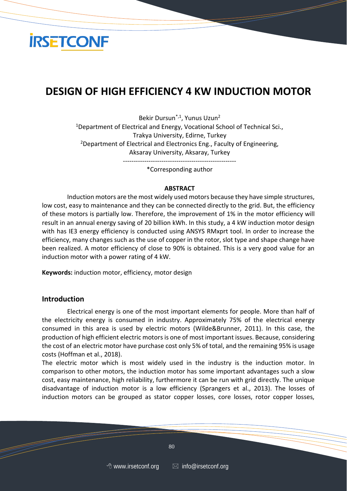

## **DESIGN OF HIGH EFFICIENCY 4 KW INDUCTION MOTOR**

Bekir Dursun\*,1, Yunus Uzun<sup>2</sup> <sup>1</sup>Department of Electrical and Energy, Vocational School of Technical Sci., Trakya University, Edirne, Turkey <sup>2</sup>Department of Electrical and Electronics Eng., Faculty of Engineering, Aksaray University, Aksaray, Turkey -----------------------------------------------------

\*Corresponding author

#### **ABSTRACT**

Induction motors are the most widely used motors because they have simple structures, low cost, easy to maintenance and they can be connected directly to the grid. But, the efficiency of these motors is partially low. Therefore, the improvement of 1% in the motor efficiency will result in an annual energy saving of 20 billion kWh. In this study, a 4 kW induction motor design with has IE3 energy efficiency is conducted using ANSYS RMxprt tool. In order to increase the efficiency, many changes such as the use of copper in the rotor, slot type and shape change have been realized. A motor efficiency of close to 90% is obtained. This is a very good value for an induction motor with a power rating of 4 kW.

**Keywords:** induction motor, efficiency, motor design

#### **Introduction**

Electrical energy is one of the most important elements for people. More than half of the electricity energy is consumed in industry. Approximately 75% of the electrical energy consumed in this area is used by electric motors (Wilde&Brunner, 2011). In this case, the production of high efficient electric motors is one of most important issues. Because, considering the cost of an electric motor have purchase cost only 5% of total, and the remaining 95% is usage costs (Hoffman et al., 2018).

The electric motor which is most widely used in the industry is the induction motor. In comparison to other motors, the induction motor has some important advantages such a slow cost, easy maintenance, high reliability, furthermore it can be run with grid directly. The unique disadvantage of induction motor is a low efficiency (Sprangers et al., 2013). The losses of induction motors can be grouped as stator copper losses, core losses, rotor copper losses,

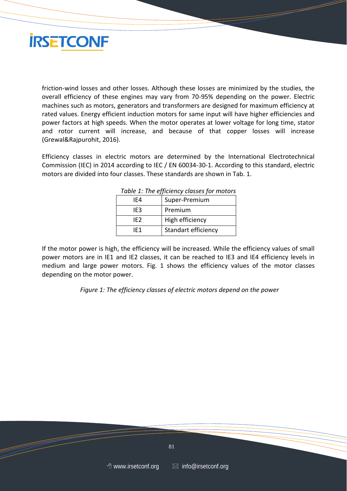

friction-wind losses and other losses. Although these losses are minimized by the studies, the overall efficiency of these engines may vary from 70-95% depending on the power. Electric machines such as motors, generators and transformers are designed for maximum efficiency at rated values. Energy efficient induction motors for same input will have higher efficiencies and power factors at high speeds. When the motor operates at lower voltage for long time, stator and rotor current will increase, and because of that copper losses will increase (Grewal&Rajpurohit, 2016).

Efficiency classes in electric motors are determined by the International Electrotechnical Commission (IEC) in 2014 according to IEC / EN 60034-30-1. According to this standard, electric motors are divided into four classes. These standards are shown in Tab. 1.

| Table 1. The efficiency classes for motors |  |  |  |  |
|--------------------------------------------|--|--|--|--|
| Super-Premium                              |  |  |  |  |
| Premium                                    |  |  |  |  |
| High efficiency                            |  |  |  |  |
| Standart efficiency                        |  |  |  |  |
|                                            |  |  |  |  |

*Table 1: The efficiency classes for motors*

If the motor power is high, the efficiency will be increased. While the efficiency values of small power motors are in IE1 and IE2 classes, it can be reached to IE3 and IE4 efficiency levels in medium and large power motors. Fig. 1 shows the efficiency values of the motor classes depending on the motor power.

*Figure 1: The efficiency classes of electric motors depend on the power*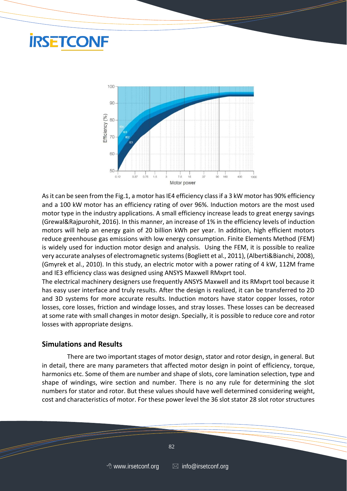# **IRSETCONF**



As it can be seen from the Fig.1, a motor has IE4 efficiency class if a 3 kW motor has 90% efficiency and a 100 kW motor has an efficiency rating of over 96%. Induction motors are the most used motor type in the industry applications. A small efficiency increase leads to great energy savings (Grewal&Rajpurohit, 2016). In this manner, an increase of 1% in the efficiency levels of induction motors will help an energy gain of 20 billion kWh per year. In addition, high efficient motors reduce greenhouse gas emissions with low energy consumption. Finite Elements Method (FEM) is widely used for induction motor design and analysis. Using the FEM, it is possible to realize very accurate analyses of electromagnetic systems (Bogliett et al., 2011), (Alberti&Bianchi, 2008), (Gmyrek et al., 2010). In this study, an electric motor with a power rating of 4 kW, 112M frame and IE3 efficiency class was designed using ANSYS Maxwell RMxprt tool.

The electrical machinery designers use frequently ANSYS Maxwell and its RMxprt tool because it has easy user interface and truly results. After the design is realized, it can be transferred to 2D and 3D systems for more accurate results. Induction motors have stator copper losses, rotor losses, core losses, friction and windage losses, and stray losses. These losses can be decreased at some rate with small changes in motor design. Specially, it is possible to reduce core and rotor losses with appropriate designs.

#### **Simulations and Results**

There are two important stages of motor design, stator and rotor design, in general. But in detail, there are many parameters that affected motor design in point of efficiency, torque, harmonics etc. Some of them are number and shape of slots, core lamination selection, type and shape of windings, wire section and number. There is no any rule for determining the slot numbers for stator and rotor. But these values should have well determined considering weight, cost and characteristics of motor. For these power level the 36 slot stator 28 slot rotor structures

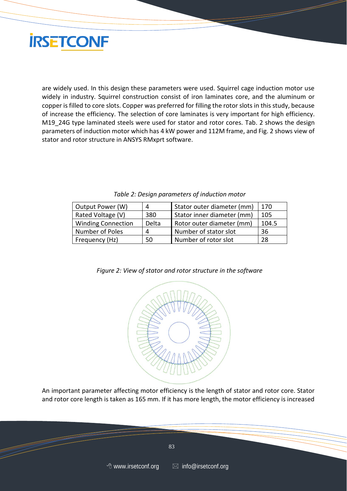

are widely used. In this design these parameters were used. Squirrel cage induction motor use widely in industry. Squirrel construction consist of iron laminates core, and the aluminum or copper is filled to core slots. Copper was preferred for filling the rotor slots in this study, because of increase the efficiency. The selection of core laminates is very important for high efficiency. M19 24G type laminated steels were used for stator and rotor cores. Tab. 2 shows the design parameters of induction motor which has 4 kW power and 112M frame, and Fig. 2 shows view of stator and rotor structure in ANSYS RMxprt software.

| Output Power (W)          |       | Stator outer diameter (mm) | 170   |
|---------------------------|-------|----------------------------|-------|
| Rated Voltage (V)         | 380   | Stator inner diameter (mm) | 105   |
| <b>Winding Connection</b> | Delta | Rotor outer diameter (mm)  | 104.5 |
| Number of Poles           |       | Number of stator slot      | 36    |
| Frequency (Hz)            | 50    | Number of rotor slot       | 28    |

*Table 2: Design parameters of induction motor*



*Figure 2: View of stator and rotor structure in the software*

An important parameter affecting motor efficiency is the length of stator and rotor core. Stator and rotor core length is taken as 165 mm. If it has more length, the motor efficiency is increased

 $\sim$  83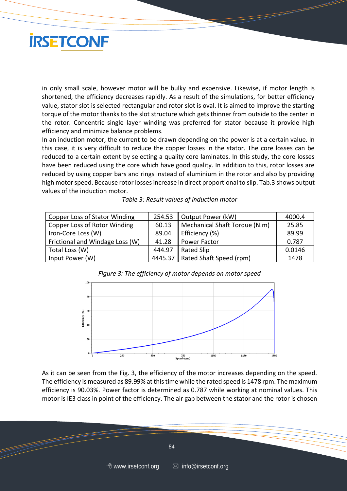

in only small scale, however motor will be bulky and expensive. Likewise, if motor length is shortened, the efficiency decreases rapidly. As a result of the simulations, for better efficiency value, stator slot is selected rectangular and rotor slot is oval. It is aimed to improve the starting torque of the motor thanks to the slot structure which gets thinner from outside to the center in the rotor. Concentric single layer winding was preferred for stator because it provide high efficiency and minimize balance problems.

In an induction motor, the current to be drawn depending on the power is at a certain value. In this case, it is very difficult to reduce the copper losses in the stator. The core losses can be reduced to a certain extent by selecting a quality core laminates. In this study, the core losses have been reduced using the core which have good quality. In addition to this, rotor losses are reduced by using copper bars and rings instead of aluminium in the rotor and also by providing high motor speed. Because rotor losses increase in direct proportional to slip. Tab.3 shows output values of the induction motor.

| Copper Loss of Stator Winding   | 254.53 | Output Power (kW)                 | 4000.4 |
|---------------------------------|--------|-----------------------------------|--------|
| Copper Loss of Rotor Winding    | 60.13  | Mechanical Shaft Torque (N.m)     | 25.85  |
| Iron-Core Loss (W)              | 89.04  | Efficiency (%)                    | 89.99  |
| Frictional and Windage Loss (W) | 41.28  | Power Factor                      | 0.787  |
| Total Loss (W)                  | 444.97 | <b>Rated Slip</b>                 | 0.0146 |
| Input Power (W)                 |        | 4445.37   Rated Shaft Speed (rpm) | 1478   |

| Table 3: Result values of induction motor |  |
|-------------------------------------------|--|
|-------------------------------------------|--|



As it can be seen from the Fig. 3, the efficiency of the motor increases depending on the speed. The efficiency is measured as 89.99% at this time while the rated speed is 1478 rpm. The maximum efficiency is 90.03%. Power factor is determined as 0.787 while working at nominal values. This motor is IE3 class in point of the efficiency. The air gap between the stator and the rotor is chosen

 $\sim$  84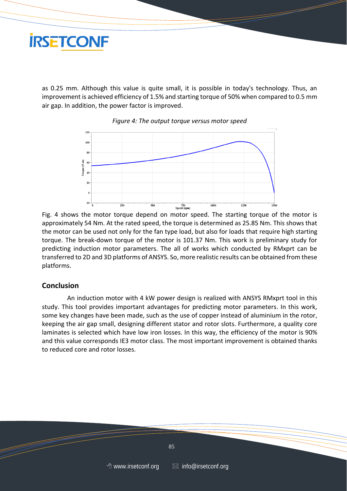

as 0.25 mm. Although this value is quite small, it is possible in today's technology. Thus, an improvement is achieved efficiency of 1.5% and starting torque of 50% when compared to 0.5 mm air gap. In addition, the power factor is improved.



*Figure 4: The output torque versus motor speed*

Fig. 4 shows the motor torque depend on motor speed. The starting torque of the motor is approximately 54 Nm. At the rated speed, the torque is determined as 25.85 Nm. This shows that the motor can be used not only for the fan type load, but also for loads that require high starting torque. The break-down torque of the motor is 101.37 Nm. This work is preliminary study for predicting induction motor parameters. The all of works which conducted by RMxprt can be transferred to 2D and 3D platforms of ANSYS. So, more realistic results can be obtained from these platforms.

### **Conclusion**

An induction motor with 4 kW power design is realized with ANSYS RMxprt tool in this study. This tool provides important advantages for predicting motor parameters. In this work, some key changes have been made, such as the use of copper instead of aluminium in the rotor, keeping the air gap small, designing different stator and rotor slots. Furthermore, a quality core laminates is selected which have low iron losses. In this way, the efficiency of the motor is 90% and this value corresponds IE3 motor class. The most important improvement is obtained thanks to reduced core and rotor losses.